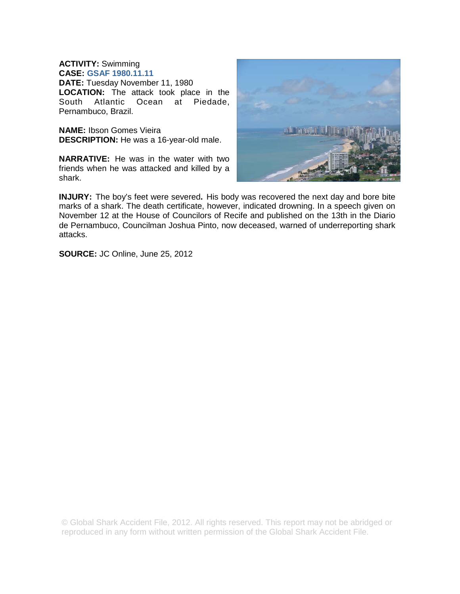## **ACTIVITY:** Swimming

**CASE: GSAF 1980.11.11 DATE:** Tuesday November 11, 1980 **LOCATION:** The attack took place in the South Atlantic Ocean at Piedade, South Atlantic Ocean at Piedade, Pernambuco, Brazil.

**NAME:** Ibson Gomes Vieira **DESCRIPTION:** He was a 16-year-old male.

**NARRATIVE:** He was in the water with two friends when he was attacked and killed by a shark.



**INJURY:** The boy's feet were severed**.** His body was recovered the next day and bore bite marks of a shark. The death certificate, however, indicated drowning. In a speech given on November 12 at the House of Councilors of Recife and published on the 13th in the Diario de Pernambuco, Councilman Joshua Pinto, now deceased, warned of underreporting shark attacks.

**SOURCE:** JC Online, June 25, 2012

© Global Shark Accident File, 2012. All rights reserved. This report may not be abridged or reproduced in any form without written permission of the Global Shark Accident File.